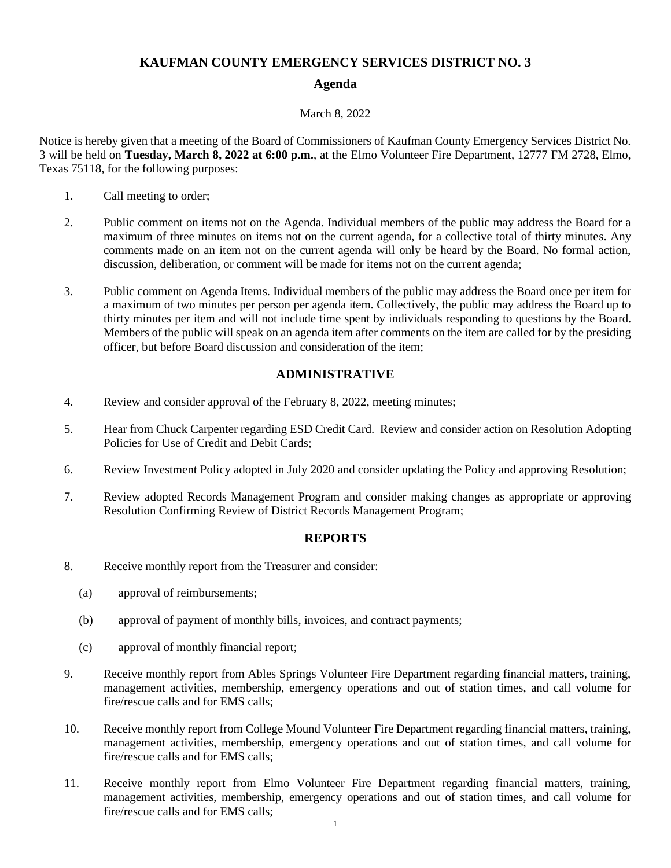# **KAUFMAN COUNTY EMERGENCY SERVICES DISTRICT NO. 3**

# **Agenda**

### March 8, 2022

Notice is hereby given that a meeting of the Board of Commissioners of Kaufman County Emergency Services District No. 3 will be held on **Tuesday, March 8, 2022 at 6:00 p.m.**, at the Elmo Volunteer Fire Department, 12777 FM 2728, Elmo, Texas 75118, for the following purposes:

- 1. Call meeting to order;
- 2. Public comment on items not on the Agenda. Individual members of the public may address the Board for a maximum of three minutes on items not on the current agenda, for a collective total of thirty minutes. Any comments made on an item not on the current agenda will only be heard by the Board. No formal action, discussion, deliberation, or comment will be made for items not on the current agenda;
- 3. Public comment on Agenda Items. Individual members of the public may address the Board once per item for a maximum of two minutes per person per agenda item. Collectively, the public may address the Board up to thirty minutes per item and will not include time spent by individuals responding to questions by the Board. Members of the public will speak on an agenda item after comments on the item are called for by the presiding officer, but before Board discussion and consideration of the item;

# **ADMINISTRATIVE**

- 4. Review and consider approval of the February 8, 2022, meeting minutes;
- 5. Hear from Chuck Carpenter regarding ESD Credit Card. Review and consider action on Resolution Adopting Policies for Use of Credit and Debit Cards;
- 6. Review Investment Policy adopted in July 2020 and consider updating the Policy and approving Resolution;
- 7. Review adopted Records Management Program and consider making changes as appropriate or approving Resolution Confirming Review of District Records Management Program;

### **REPORTS**

- 8. Receive monthly report from the Treasurer and consider:
	- (a) approval of reimbursements;
	- (b) approval of payment of monthly bills, invoices, and contract payments;
	- (c) approval of monthly financial report;
- 9. Receive monthly report from Ables Springs Volunteer Fire Department regarding financial matters, training, management activities, membership, emergency operations and out of station times, and call volume for fire/rescue calls and for EMS calls;
- 10. Receive monthly report from College Mound Volunteer Fire Department regarding financial matters, training, management activities, membership, emergency operations and out of station times, and call volume for fire/rescue calls and for EMS calls;
- 11. Receive monthly report from Elmo Volunteer Fire Department regarding financial matters, training, management activities, membership, emergency operations and out of station times, and call volume for fire/rescue calls and for EMS calls;